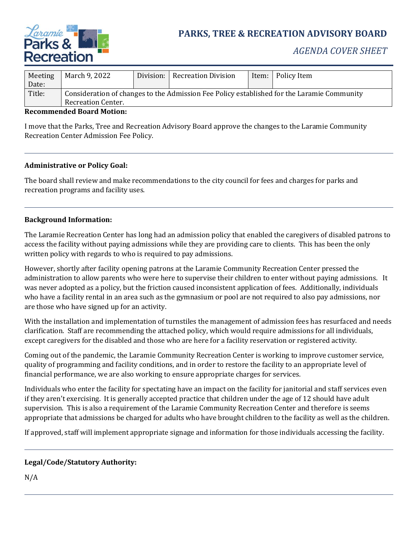

# **PARKS, TREE & RECREATION ADVISORY BOARD**

| Meeting | March 9, 2022                                                                              |  | Division:   Recreation Division |  | Item:   Policy Item |
|---------|--------------------------------------------------------------------------------------------|--|---------------------------------|--|---------------------|
| Date:   |                                                                                            |  |                                 |  |                     |
| Title:  | Consideration of changes to the Admission Fee Policy established for the Laramie Community |  |                                 |  |                     |
|         | Recreation Center.                                                                         |  |                                 |  |                     |

#### **Recommended Board Motion:**

I move that the Parks, Tree and Recreation Advisory Board approve the changes to the Laramie Community Recreation Center Admission Fee Policy.

#### **Administrative or Policy Goal:**

The board shall review and make recommendations to the city council for fees and charges for parks and recreation programs and facility uses.

#### **Background Information:**

The Laramie Recreation Center has long had an admission policy that enabled the caregivers of disabled patrons to access the facility without paying admissions while they are providing care to clients. This has been the only written policy with regards to who is required to pay admissions.

However, shortly after facility opening patrons at the Laramie Community Recreation Center pressed the administration to allow parents who were here to supervise their children to enter without paying admissions. It was never adopted as a policy, but the friction caused inconsistent application of fees. Additionally, individuals who have a facility rental in an area such as the gymnasium or pool are not required to also pay admissions, nor are those who have signed up for an activity.

With the installation and implementation of turnstiles the management of admission fees has resurfaced and needs clarification. Staff are recommending the attached policy, which would require admissions for all individuals, except caregivers for the disabled and those who are here for a facility reservation or registered activity.

Coming out of the pandemic, the Laramie Community Recreation Center is working to improve customer service, quality of programming and facility conditions, and in order to restore the facility to an appropriate level of financial performance, we are also working to ensure appropriate charges for services.

Individuals who enter the facility for spectating have an impact on the facility for janitorial and staff services even if they aren't exercising. It is generally accepted practice that children under the age of 12 should have adult supervision. This is also a requirement of the Laramie Community Recreation Center and therefore is seems appropriate that admissions be charged for adults who have brought children to the facility as well as the children.

If approved, staff will implement appropriate signage and information for those individuals accessing the facility.

#### **Legal/Code/Statutory Authority:**

N/A